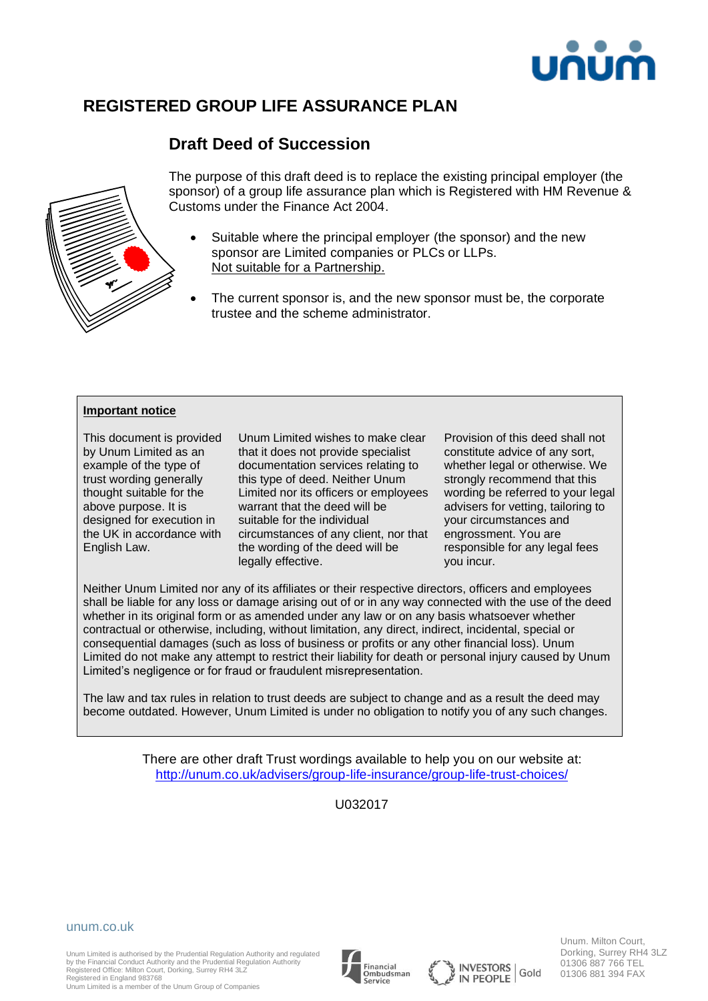

# **REGISTERED GROUP LIFE ASSURANCE PLAN**

# **Draft Deed of Succession**



The purpose of this draft deed is to replace the existing principal employer (the sponsor) of a group life assurance plan which is Registered with HM Revenue & Customs under the Finance Act 2004.

- Suitable where the principal employer (the sponsor) and the new sponsor are Limited companies or PLCs or LLPs. Not suitable for a Partnership.
- The current sponsor is, and the new sponsor must be, the corporate trustee and the scheme administrator.

#### **Important notice**

This document is provided by Unum Limited as an example of the type of trust wording generally thought suitable for the above purpose. It is designed for execution in the UK in accordance with English Law.

Unum Limited wishes to make clear that it does not provide specialist documentation services relating to this type of deed. Neither Unum Limited nor its officers or employees warrant that the deed will be suitable for the individual circumstances of any client, nor that the wording of the deed will be legally effective.

Provision of this deed shall not constitute advice of any sort, whether legal or otherwise. We strongly recommend that this wording be referred to your legal advisers for vetting, tailoring to your circumstances and engrossment. You are responsible for any legal fees you incur.

Neither Unum Limited nor any of its affiliates or their respective directors, officers and employees shall be liable for any loss or damage arising out of or in any way connected with the use of the deed whether in its original form or as amended under any law or on any basis whatsoever whether contractual or otherwise, including, without limitation, any direct, indirect, incidental, special or consequential damages (such as loss of business or profits or any other financial loss). Unum Limited do not make any attempt to restrict their liability for death or personal injury caused by Unum Limited's negligence or for fraud or fraudulent misrepresentation.

The law and tax rules in relation to trust deeds are subject to change and as a result the deed may become outdated. However, Unum Limited is under no obligation to notify you of any such changes.

> There are other draft Trust wordings available to help you on our website at: <http://unum.co.uk/advisers/group-life-insurance/group-life-trust-choices/>

> > U032017

#### unum.co.uk

Unum Limited is authorised by the Prudential Regulation Authority and regulated by the Financial Conduct Authority and the Prudential Regulation Authority Registered Office: Milton Court, Dorking, Surrey RH4 3LZ Registered in England 983768

Unum Limited is a member of the Unum Group of Companies







Unum. Milton Court, Dorking, Surrey RH4 3LZ 01306 887 766 TEL 01306 881 394 FAX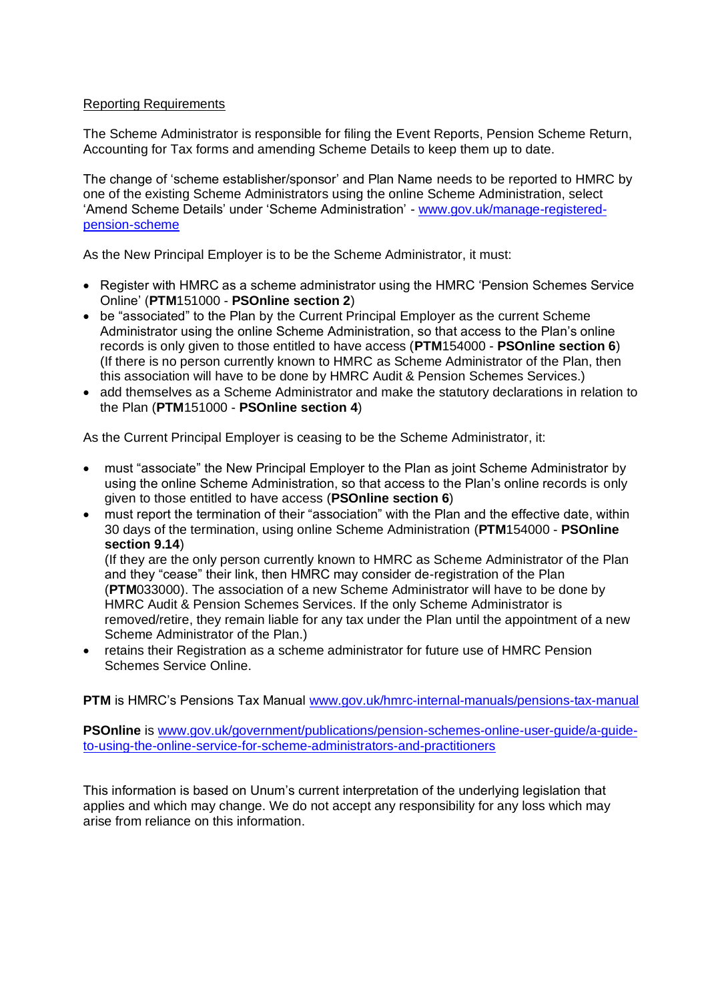## Reporting Requirements

The Scheme Administrator is responsible for filing the Event Reports, Pension Scheme Return, Accounting for Tax forms and amending Scheme Details to keep them up to date.

The change of 'scheme establisher/sponsor' and Plan Name needs to be reported to HMRC by one of the existing Scheme Administrators using the online Scheme Administration, select 'Amend Scheme Details' under 'Scheme Administration' - [www.gov.uk/manage-registered](http://www.gov.uk/manage-registered-pension-scheme)[pension-scheme](http://www.gov.uk/manage-registered-pension-scheme)

As the New Principal Employer is to be the Scheme Administrator, it must:

- Register with HMRC as a scheme administrator using the HMRC 'Pension Schemes Service Online' (**PTM**151000 - **PSOnline section 2**)
- be "associated" to the Plan by the Current Principal Employer as the current Scheme Administrator using the online Scheme Administration, so that access to the Plan's online records is only given to those entitled to have access (**PTM**154000 - **PSOnline section 6**) (If there is no person currently known to HMRC as Scheme Administrator of the Plan, then this association will have to be done by HMRC Audit & Pension Schemes Services.)
- add themselves as a Scheme Administrator and make the statutory declarations in relation to the Plan (**PTM**151000 - **PSOnline section 4**)

As the Current Principal Employer is ceasing to be the Scheme Administrator, it:

- must "associate" the New Principal Employer to the Plan as joint Scheme Administrator by using the online Scheme Administration, so that access to the Plan's online records is only given to those entitled to have access (**PSOnline section 6**)
- must report the termination of their "association" with the Plan and the effective date, within 30 days of the termination, using online Scheme Administration (**PTM**154000 - **PSOnline section 9.14**)

(If they are the only person currently known to HMRC as Scheme Administrator of the Plan and they "cease" their link, then HMRC may consider de-registration of the Plan (**PTM**033000). The association of a new Scheme Administrator will have to be done by HMRC Audit & Pension Schemes Services. If the only Scheme Administrator is removed/retire, they remain liable for any tax under the Plan until the appointment of a new Scheme Administrator of the Plan.)

• retains their Registration as a scheme administrator for future use of HMRC Pension Schemes Service Online.

**PTM** is HMRC's Pensions Tax Manual [www.gov.uk/hmrc-internal-manuals/pensions-tax-manual](http://www.gov.uk/hmrc-internal-manuals/pensions-tax-manual)

**PSOnline** is [www.gov.uk/government/publications/pension-schemes-online-user-guide/a-guide](http://www.gov.uk/government/publications/pension-schemes-online-user-guide/a-guide-to-using-the-online-service-for-scheme-administrators-and-practitioners)[to-using-the-online-service-for-scheme-administrators-and-practitioners](http://www.gov.uk/government/publications/pension-schemes-online-user-guide/a-guide-to-using-the-online-service-for-scheme-administrators-and-practitioners)

This information is based on Unum's current interpretation of the underlying legislation that applies and which may change. We do not accept any responsibility for any loss which may arise from reliance on this information.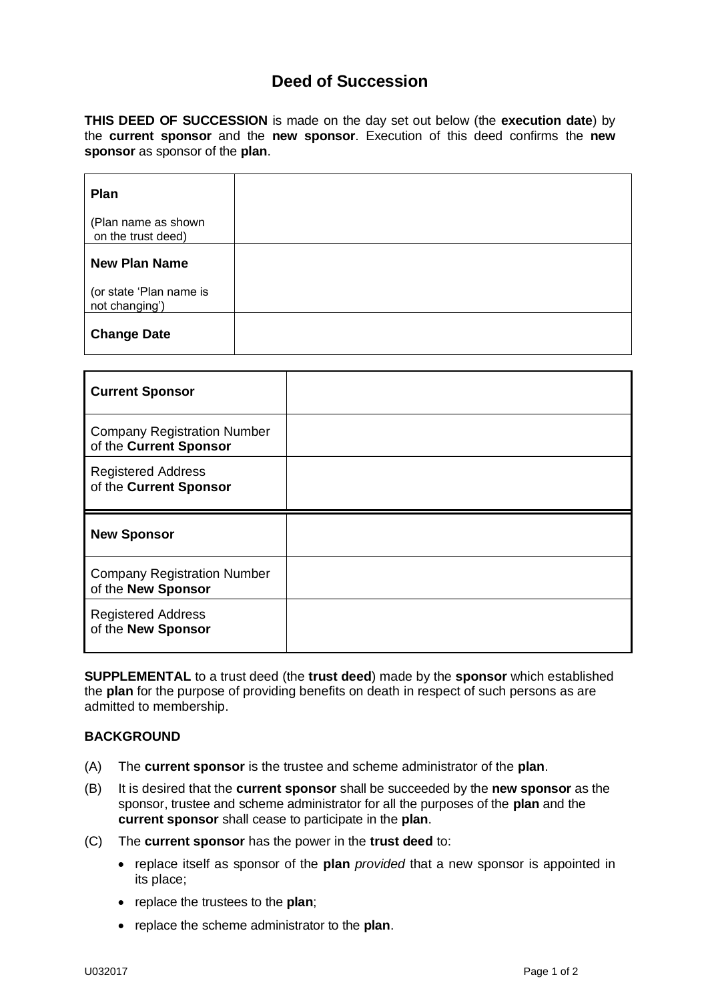## **Deed of Succession**

**THIS DEED OF SUCCESSION** is made on the day set out below (the **execution date**) by the **current sponsor** and the **new sponsor**. Execution of this deed confirms the **new sponsor** as sponsor of the **plan**.

| Plan                                      |  |
|-------------------------------------------|--|
| (Plan name as shown<br>on the trust deed) |  |
| <b>New Plan Name</b>                      |  |
| (or state 'Plan name is<br>not changing') |  |
| <b>Change Date</b>                        |  |

| <b>Current Sponsor</b>                                       |  |
|--------------------------------------------------------------|--|
| <b>Company Registration Number</b><br>of the Current Sponsor |  |
| <b>Registered Address</b><br>of the Current Sponsor          |  |
|                                                              |  |
| <b>New Sponsor</b>                                           |  |
| <b>Company Registration Number</b><br>of the New Sponsor     |  |

**SUPPLEMENTAL** to a trust deed (the **trust deed**) made by the **sponsor** which established the **plan** for the purpose of providing benefits on death in respect of such persons as are admitted to membership.

### **BACKGROUND**

- (A) The **current sponsor** is the trustee and scheme administrator of the **plan**.
- (B) It is desired that the **current sponsor** shall be succeeded by the **new sponsor** as the sponsor, trustee and scheme administrator for all the purposes of the **plan** and the **current sponsor** shall cease to participate in the **plan**.
- (C) The **current sponsor** has the power in the **trust deed** to:
	- replace itself as sponsor of the **plan** *provided* that a new sponsor is appointed in its place;
	- replace the trustees to the **plan**;
	- replace the scheme administrator to the **plan**.